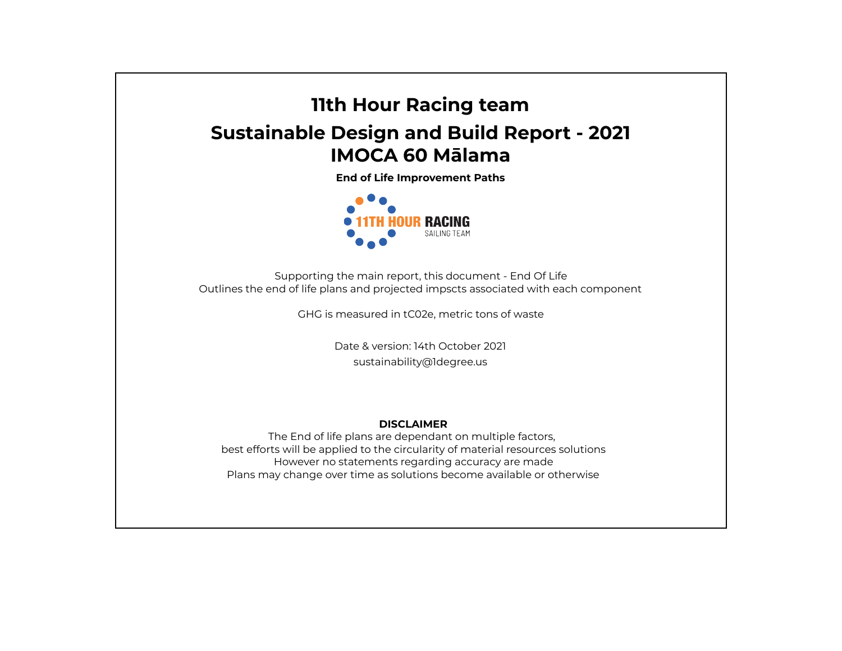## **11th Hour Racing team Sustainable Design and Build Report - 2021 IMOCA 60 Mālama**

**End of Life Improvement Paths**



Supporting the main report, this document - End Of Life Outlines the end of life plans and projected impscts associated with each component

GHG is measured in tC02e, metric tons of waste

Date & version: 14th October 2021 sustainability@1degree.us

## **DISCLAIMER**

The End of life plans are dependant on multiple factors, best efforts will be applied to the circularity of material resources solutions However no statements regarding accuracy are made Plans may change over time as solutions become available or otherwise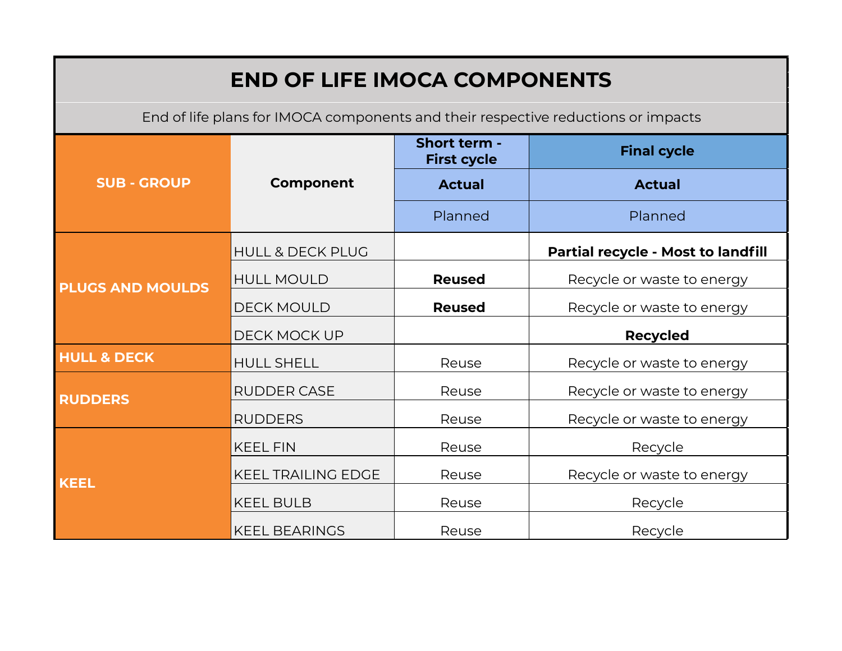| <b>END OF LIFE IMOCA COMPONENTS</b>                                               |                             |                                    |                                    |  |  |  |
|-----------------------------------------------------------------------------------|-----------------------------|------------------------------------|------------------------------------|--|--|--|
| End of life plans for IMOCA components and their respective reductions or impacts |                             |                                    |                                    |  |  |  |
| <b>SUB - GROUP</b>                                                                | <b>Component</b>            | Short term -<br><b>First cycle</b> | <b>Final cycle</b>                 |  |  |  |
|                                                                                   |                             | <b>Actual</b>                      | <b>Actual</b>                      |  |  |  |
|                                                                                   |                             | Planned                            | Planned                            |  |  |  |
|                                                                                   | <b>HULL &amp; DECK PLUG</b> |                                    | Partial recycle - Most to landfill |  |  |  |
| <b>PLUGS AND MOULDS</b>                                                           | <b>HULL MOULD</b>           | <b>Reused</b>                      | Recycle or waste to energy         |  |  |  |
|                                                                                   | <b>DECK MOULD</b>           | <b>Reused</b>                      | Recycle or waste to energy         |  |  |  |
|                                                                                   | DECK MOCK UP                |                                    | <b>Recycled</b>                    |  |  |  |
| <b>HULL &amp; DECK</b>                                                            | <b>HULL SHELL</b>           | Reuse                              | Recycle or waste to energy         |  |  |  |
| <b>RUDDERS</b>                                                                    | <b>RUDDER CASE</b>          | Reuse                              | Recycle or waste to energy         |  |  |  |
|                                                                                   | <b>RUDDERS</b>              | Reuse                              | Recycle or waste to energy         |  |  |  |
| <b>KEEL</b>                                                                       | <b>KEEL FIN</b>             | Reuse                              | Recycle                            |  |  |  |
|                                                                                   | <b>KEEL TRAILING EDGE</b>   | Reuse                              | Recycle or waste to energy         |  |  |  |
|                                                                                   | <b>KEEL BULB</b>            | Reuse                              | Recycle                            |  |  |  |
|                                                                                   | <b>KEEL BEARINGS</b>        | Reuse                              | Recycle                            |  |  |  |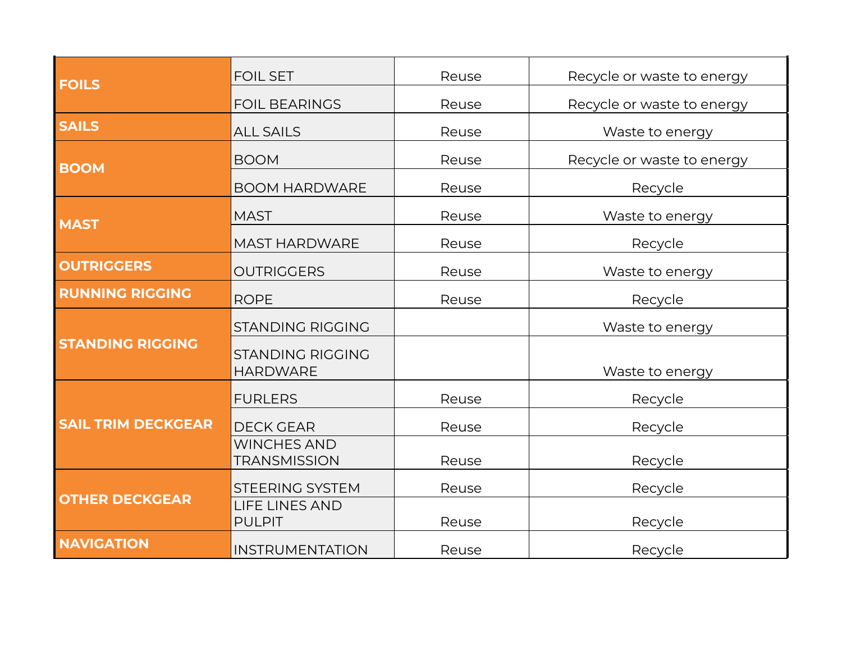| <b>FOILS</b>              | <b>FOIL SET</b>                            | Reuse | Recycle or waste to energy |
|---------------------------|--------------------------------------------|-------|----------------------------|
|                           | <b>FOIL BEARINGS</b>                       | Reuse | Recycle or waste to energy |
| <b>SAILS</b>              | <b>ALL SAILS</b>                           | Reuse | Waste to energy            |
| <b>BOOM</b>               | <b>BOOM</b>                                | Reuse | Recycle or waste to energy |
|                           | <b>BOOM HARDWARE</b>                       | Reuse | Recycle                    |
| <b>MAST</b>               | <b>MAST</b>                                | Reuse | Waste to energy            |
|                           | <b>MAST HARDWARE</b>                       | Reuse | Recycle                    |
| <b>OUTRIGGERS</b>         | <b>OUTRIGGERS</b>                          | Reuse | Waste to energy            |
| <b>RUNNING RIGGING</b>    | <b>ROPE</b>                                | Reuse | Recycle                    |
| <b>STANDING RIGGING</b>   | <b>STANDING RIGGING</b>                    |       | Waste to energy            |
|                           | <b>STANDING RIGGING</b><br><b>HARDWARE</b> |       | Waste to energy            |
| <b>SAIL TRIM DECKGEAR</b> | <b>FURLERS</b>                             | Reuse | Recycle                    |
|                           | <b>DECK GEAR</b>                           | Reuse | Recycle                    |
|                           | <b>WINCHES AND</b><br><b>TRANSMISSION</b>  | Reuse | Recycle                    |
| <b>OTHER DECKGEAR</b>     | <b>STEERING SYSTEM</b>                     | Reuse | Recycle                    |
|                           | <b>LIFE LINES AND</b><br><b>PULPIT</b>     | Reuse | Recycle                    |
| <b>NAVIGATION</b>         | <b>INSTRUMENTATION</b>                     | Reuse | Recycle                    |